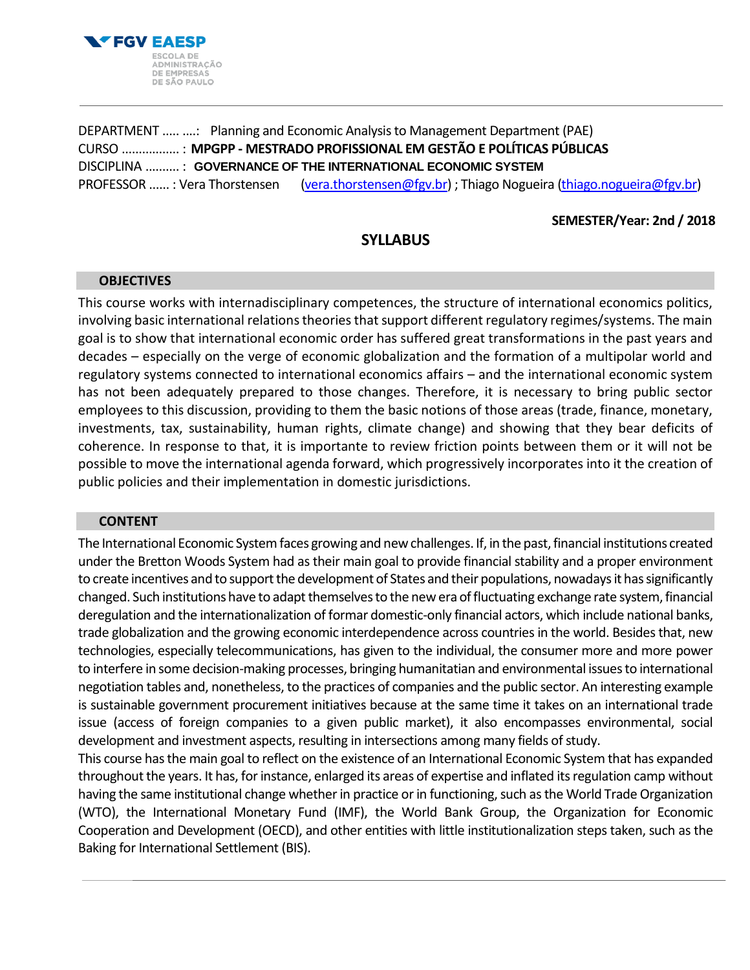

DEPARTMENT ..... ....: Planning and Economic Analysis to Management Department (PAE) CURSO ................. : **MPGPP - MESTRADO PROFISSIONAL EM GESTÃO E POLÍTICAS PÚBLICAS** DISCIPLINA .......... : **GOVERNANCE OF THE INTERNATIONAL ECONOMIC SYSTEM** PROFESSOR ...... : Vera Thorstensen [\(vera.thorstensen@fgv.br\)](mailto:vera.thorstensen@fgv.br) ; Thiago Nogueira [\(thiago.nogueira@fgv.br\)](mailto:thiago.nogueira@fgv.br)

# **SEMESTER/Year: 2nd / 2018**

# **SYLLABUS**

### **OBJECTIVES**

This course works with internadisciplinary competences, the structure of international economics politics, involving basic international relations theories that support different regulatory regimes/systems. The main goal is to show that international economic order has suffered great transformations in the past years and decades – especially on the verge of economic globalization and the formation of a multipolar world and regulatory systems connected to international economics affairs – and the international economic system has not been adequately prepared to those changes. Therefore, it is necessary to bring public sector employees to this discussion, providing to them the basic notions of those areas (trade, finance, monetary, investments, tax, sustainability, human rights, climate change) and showing that they bear deficits of coherence. In response to that, it is importante to review friction points between them or it will not be possible to move the international agenda forward, which progressively incorporates into it the creation of public policies and their implementation in domestic jurisdictions.

#### **CONTENT**

The International Economic System faces growing and new challenges. If, in the past, financial institutions created under the Bretton Woods System had as their main goal to provide financial stability and a proper environment to create incentives and to support the development of States and their populations, nowadays it has significantly changed. Such institutions have to adapt themselves to the new era of fluctuating exchange rate system, financial deregulation and the internationalization of formar domestic-only financial actors, which include national banks, trade globalization and the growing economic interdependence across countries in the world. Besides that, new technologies, especially telecommunications, has given to the individual, the consumer more and more power to interfere in some decision-making processes, bringing humanitatian and environmental issues to international negotiation tables and, nonetheless, to the practices of companies and the public sector. An interesting example is sustainable government procurement initiatives because at the same time it takes on an international trade issue (access of foreign companies to a given public market), it also encompasses environmental, social development and investment aspects, resulting in intersections among many fields of study.

This course has the main goal to reflect on the existence of an International Economic System that has expanded throughout the years. It has, for instance, enlarged its areas of expertise and inflated its regulation camp without having the same institutional change whether in practice or in functioning, such as the World Trade Organization (WTO), the International Monetary Fund (IMF), the World Bank Group, the Organization for Economic Cooperation and Development (OECD), and other entities with little institutionalization steps taken, such as the Baking for International Settlement (BIS).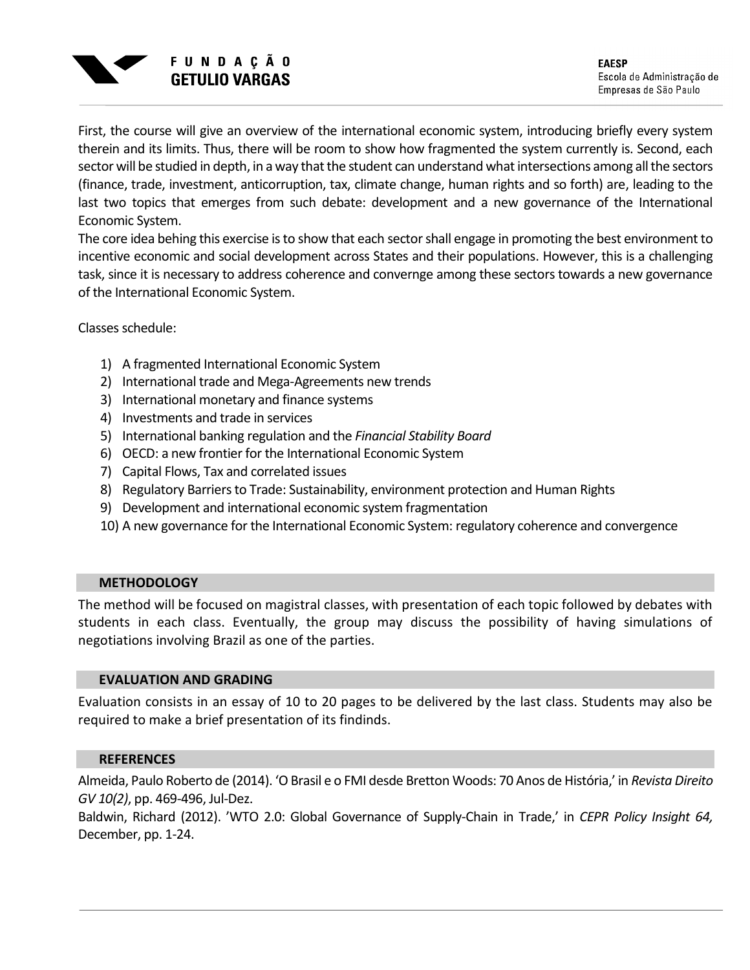

**EAESP** Escola de Administração de Empresas de São Paulo

First, the course will give an overview of the international economic system, introducing briefly every system therein and its limits. Thus, there will be room to show how fragmented the system currently is. Second, each sector will be studied in depth, in a way that the student can understand what intersections among all the sectors (finance, trade, investment, anticorruption, tax, climate change, human rights and so forth) are, leading to the last two topics that emerges from such debate: development and a new governance of the International Economic System.

The core idea behing this exercise is to show that each sector shall engage in promoting the best environment to incentive economic and social development across States and their populations. However, this is a challenging task, since it is necessary to address coherence and convernge among these sectors towards a new governance of the International Economic System.

Classes schedule:

- 1) A fragmented International Economic System
- 2) International trade and Mega-Agreements new trends
- 3) International monetary and finance systems
- 4) Investments and trade in services
- 5) International banking regulation and the *Financial Stability Board*
- 6) OECD: a new frontier for the International Economic System
- 7) Capital Flows, Tax and correlated issues
- 8) Regulatory Barriers to Trade: Sustainability, environment protection and Human Rights
- 9) Development and international economic system fragmentation
- 10) A new governance for the International Economic System: regulatory coherence and convergence

## **METHODOLOGY**

The method will be focused on magistral classes, with presentation of each topic followed by debates with students in each class. Eventually, the group may discuss the possibility of having simulations of negotiations involving Brazil as one of the parties.

### **EVALUATION AND GRADING**

Evaluation consists in an essay of 10 to 20 pages to be delivered by the last class. Students may also be required to make a brief presentation of its findinds.

#### **REFERENCES**

Almeida, Paulo Roberto de (2014). 'O Brasil e o FMI desde Bretton Woods: 70 Anos de História,' in *Revista Direito GV 10(2)*, pp. 469-496, Jul-Dez.

Baldwin, Richard (2012). 'WTO 2.0: Global Governance of Supply-Chain in Trade,' in *CEPR Policy Insight 64,*  December, pp. 1-24.